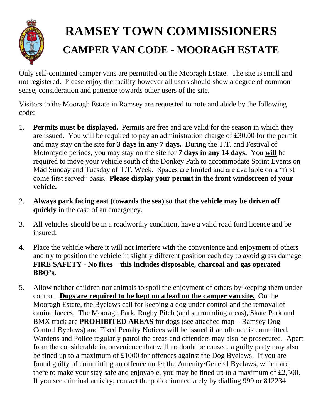

## **RAMSEY TOWN COMMISSIONERS CAMPER VAN CODE - MOORAGH ESTATE**

Only self-contained camper vans are permitted on the Mooragh Estate. The site is small and not registered. Please enjoy the facility however all users should show a degree of common sense, consideration and patience towards other users of the site.

Visitors to the Mooragh Estate in Ramsey are requested to note and abide by the following code:-

- 1. **Permits must be displayed.** Permits are free and are valid for the season in which they are issued. You will be required to pay an administration charge of £30.00 for the permit and may stay on the site for **3 days in any 7 days.** During the T.T. and Festival of Motorcycle periods, you may stay on the site for **7 days in any 14 days.** You **will** be required to move your vehicle south of the Donkey Path to accommodate Sprint Events on Mad Sunday and Tuesday of T.T. Week. Spaces are limited and are available on a "first come first served" basis. **Please display your permit in the front windscreen of your vehicle.**
- 2. **Always park facing east (towards the sea) so that the vehicle may be driven off quickly** in the case of an emergency.
- 3. All vehicles should be in a roadworthy condition, have a valid road fund licence and be insured.
- 4. Place the vehicle where it will not interfere with the convenience and enjoyment of others and try to position the vehicle in slightly different position each day to avoid grass damage. **FIRE SAFETY** - **No fires – this includes disposable, charcoal and gas operated BBQ's.**
- 5. Allow neither children nor animals to spoil the enjoyment of others by keeping them under control. **Dogs are required to be kept on a lead on the camper van site.** On the Mooragh Estate, the Byelaws call for keeping a dog under control and the removal of canine faeces. The Mooragh Park, Rugby Pitch (and surrounding areas), Skate Park and BMX track are **PROHIBITED AREAS** for dogs (see attached map – Ramsey Dog Control Byelaws) and Fixed Penalty Notices will be issued if an offence is committed. Wardens and Police regularly patrol the areas and offenders may also be prosecuted. Apart from the considerable inconvenience that will no doubt be caused, a guilty party may also be fined up to a maximum of £1000 for offences against the Dog Byelaws. If you are found guilty of committing an offence under the Amenity/General Byelaws, which are there to make your stay safe and enjoyable, you may be fined up to a maximum of £2,500. If you see criminal activity, contact the police immediately by dialling 999 or 812234.